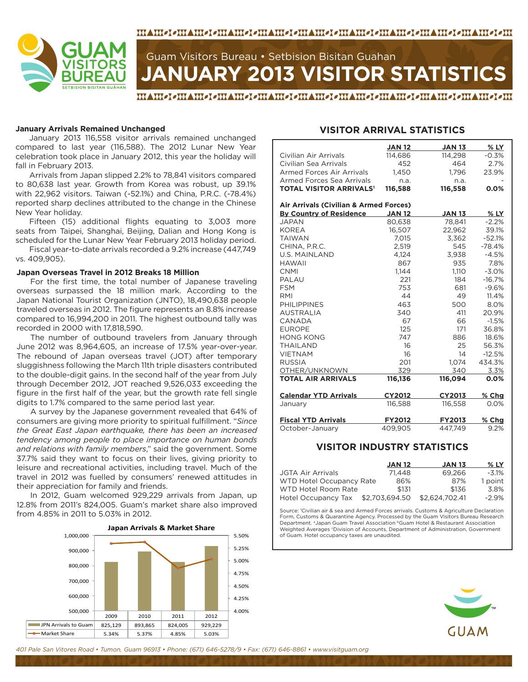

# **JANUARY 2013 VISITOR STATISTICS** Guam Visitors Bureau • Setbision Bisitan Guahan

MAMOOMAMOOMAMOOMAMOOMAMOOMAMOOMAMOOMAAMOOMAMOOMAAHO

#### **January Arrivals Remained Unchanged**

January 2013 116,558 visitor arrivals remained unchanged compared to last year (116,588). The 2012 Lunar New Year celebration took place in January 2012, this year the holiday will fall in February 2013.

Arrivals from Japan slipped 2.2% to 78,841 visitors compared to 80,638 last year. Growth from Korea was robust, up 39.1% with 22,962 visitors. Taiwan (-52.1%) and China, P.R.C. (-78.4%) reported sharp declines attributed to the change in the Chinese New Year holiday.

Fifteen (15) additional flights equating to 3,003 more seats from Taipei, Shanghai, Beijing, Dalian and Hong Kong is scheduled for the Lunar New Year February 2013 holiday period.

Fiscal year-to-date arrivals recorded a 9.2% increase (447,749 vs. 409,905).

#### **Japan Overseas Travel in 2012 Breaks 18 Million**

For the first time, the total number of Japanese traveling overseas surpassed the 18 million mark. According to the Japan National Tourist Organization (JNTO), 18,490,638 people traveled overseas in 2012. The figure represents an 8.8% increase compared to 16,994,200 in 2011. The highest outbound tally was recorded in 2000 with 17,818,590.

The number of outbound travelers from January through June 2012 was 8,964,605, an increase of 17.5% year-over-year. The rebound of Japan overseas travel (JOT) after temporary sluggishness following the March 11th triple disasters contributed to the double-digit gains. In the second half of the year from July through December 2012, JOT reached 9,526,033 exceeding the figure in the first half of the year, but the growth rate fell single digits to 1.7% compared to the same period last year.

A survey by the Japanese government revealed that 64% of consumers are giving more priority to spiritual fulfillment. "*Since the Great East Japan earthquake, there has been an increased tendency among people to place importance on human bonds and relations with family members*," said the government. Some 37.7% said they want to focus on their lives, giving priority to leisure and recreational activities, including travel. Much of the travel in 2012 was fuelled by consumers' renewed attitudes in their appreciation for family and friends.

In 2012, Guam welcomed 929,229 arrivals from Japan, up 12.8% from 2011's 824,005. Guam's market share also improved from 4.85% in 2011 to 5.03% in 2012.



### **VISITOR ARRIVAL STATISTICS**

|                                           | <b>JAN 12</b> | <b>JAN 13</b> | % LY     |
|-------------------------------------------|---------------|---------------|----------|
| Civilian Air Arrivals                     | 114.686       | 114.298       | $-0.3%$  |
| Civilian Sea Arrivals                     | 452           | 464           | 2.7%     |
| <b>Armed Forces Air Arrivals</b>          | 1,450         | 1,796         | 23.9%    |
| Armed Forces Sea Arrivals                 | n.a.          | n.a.          |          |
| <b>TOTAL VISITOR ARRIVALS<sup>1</sup></b> | 116,588       | 116,558       | 0.0%     |
|                                           |               |               |          |
| Air Arrivals (Civilian & Armed Forces)    |               |               |          |
| <b>By Country of Residence</b>            | <b>JAN 12</b> | <b>JAN 13</b> | $%$ LY   |
| <b>JAPAN</b>                              | 80,638        | 78,841        | $-2.2%$  |
| <b>KOREA</b>                              | 16,507        | 22,962        | 39.1%    |
| <b>TAIWAN</b>                             | 7,015         | 3,362         | $-52.1%$ |
| CHINA, P.R.C.                             | 2,519         | 545           | $-78.4%$ |
| <b>U.S. MAINLAND</b>                      | 4,124         | 3,938         | $-4.5%$  |
| <b>HAWAII</b>                             | 867           | 935           | 7.8%     |
| <b>CNMI</b>                               | 1.144         | 1.110         | $-3.0%$  |
| PALAU                                     | 221           | 184           | $-16.7%$ |
| <b>FSM</b>                                | 753           | 681           | $-9.6%$  |
| RMI                                       | 44            | 49            | 11.4%    |
| <b>PHILIPPINES</b>                        | 463           | 500           | 8.0%     |
| <b>AUSTRALIA</b>                          | 340           | 411           | 20.9%    |
| CANADA                                    | 67            | 66            | $-1.5%$  |
| <b>EUROPE</b>                             | 125           | 171           | 36.8%    |
| <b>HONG KONG</b>                          | 747           | 886           | 18.6%    |
| <b>THAILAND</b>                           | 16            | 25            | 56.3%    |
| <b>VIETNAM</b>                            | 16            | 14            | $-12.5%$ |
| <b>RUSSIA</b>                             | 201           | 1.074         | 434.3%   |
| OTHER/UNKNOWN                             | 329           | 340           | 3.3%     |
| <b>TOTAL AIR ARRIVALS</b>                 | 116,136       | 116,094       | 0.0%     |
| <b>Calendar YTD Arrivals</b>              | <b>CY2012</b> | CY2013        | % Chg    |
| January                                   | 116,588       | 116,558       | 0.0%     |
|                                           |               |               |          |
| <b>Fiscal YTD Arrivals</b>                | <b>FY2012</b> | <b>FY2013</b> | % Chg    |
| October~January                           | 409,905       | 447,749       | 9.2%     |
|                                           |               |               |          |

### **VISITOR INDUSTRY STATISTICS**

|                          | <b>JAN 12</b>  | <b>JAN 13</b>  | $%$ LY   |
|--------------------------|----------------|----------------|----------|
| <b>JGTA Air Arrivals</b> | 71.448         | 69.266         | $-3.1\%$ |
| WTD Hotel Occupancy Rate | 86%            | 87%            | 1 point  |
| WTD Hotel Room Rate      | \$131          | \$136          | 3.8%     |
| Hotel Occupancy Tax      | \$2,703,694.50 | \$2.624.702.41 | $-2.9\%$ |

Source: 1 Civilian air & sea and Armed Forces arrivals. Customs & Agriculture Declaration Form, Customs & Quarantine Agency. Processed by the Guam Visitors Bureau Research Department. <sup>a</sup>Japan Guam Travel Association <sup>b</sup>Guam Hotel & Restaurant Association Weighted Averages <sup>c</sup>Division of Accounts, Department of Administration, Government of Guam. Hotel occupancy taxes are unaudited.



*401 Pale San Vitores Road • Tumon, Guam 96913 • Phone: (671) 646-5278/9 • Fax: (671) 646-8861 • www.visitguam.org*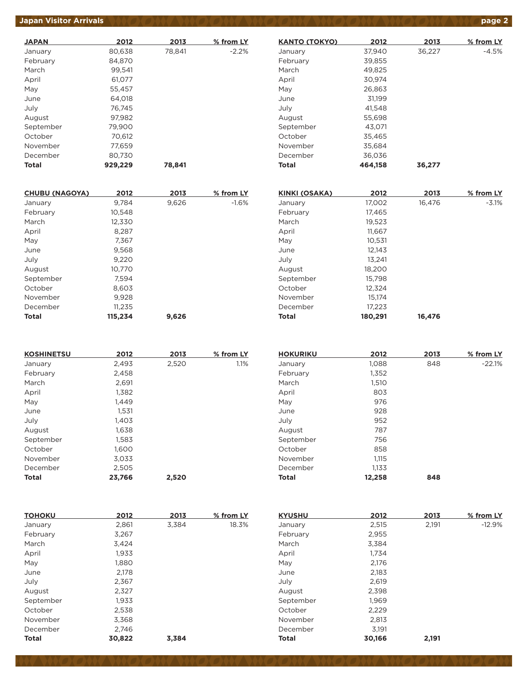# *Japan Visitor Arrivals <b>page 2*

| <b>JAPAN</b> | 2012    | 2013   | % from LY |
|--------------|---------|--------|-----------|
| January      | 80,638  | 78,841 | $-2.2%$   |
| February     | 84.870  |        |           |
| March        | 99,541  |        |           |
| April        | 61,077  |        |           |
| May          | 55,457  |        |           |
| June         | 64.018  |        |           |
| July         | 76,745  |        |           |
| August       | 97.982  |        |           |
| September    | 79,900  |        |           |
| October      | 70.612  |        |           |
| November     | 77,659  |        |           |
| December     | 80,730  |        |           |
| Total        | 929,229 | 78,841 |           |

| <b>CHUBU (NAGOYA)</b> | 2012    | 2013  | % from LY |
|-----------------------|---------|-------|-----------|
| January               | 9.784   | 9,626 | $-1.6%$   |
| February              | 10,548  |       |           |
| March                 | 12,330  |       |           |
| April                 | 8,287   |       |           |
| May                   | 7,367   |       |           |
| June                  | 9,568   |       |           |
| July                  | 9,220   |       |           |
| August                | 10,770  |       |           |
| September             | 7,594   |       |           |
| October               | 8,603   |       |           |
| November              | 9,928   |       |           |
| December              | 11,235  |       |           |
| Total                 | 115,234 | 9,626 |           |

| <b>KOSHINETSU</b> | 2012   | 2013  | % from LY |
|-------------------|--------|-------|-----------|
| January           | 2,493  | 2,520 | 1.1%      |
| February          | 2,458  |       |           |
| March             | 2,691  |       |           |
| April             | 1,382  |       |           |
| May               | 1,449  |       |           |
| June              | 1,531  |       |           |
| July              | 1,403  |       |           |
| August            | 1.638  |       |           |
| September         | 1,583  |       |           |
| October           | 1,600  |       |           |
| November          | 3,033  |       |           |
| December          | 2,505  |       |           |
| <b>Total</b>      | 23,766 | 2,520 |           |

| <b>HOKURIKU</b> | 2012   | 2013 | % from LY |
|-----------------|--------|------|-----------|
| January         | 1,088  | 848  | $-22.1%$  |
| February        | 1,352  |      |           |
| March           | 1,510  |      |           |
| April           | 803    |      |           |
| May             | 976    |      |           |
| June            | 928    |      |           |
| July            | 952    |      |           |
| August          | 787    |      |           |
| September       | 756    |      |           |
| October         | 858    |      |           |
| November        | 1,115  |      |           |
| December        | 1,133  |      |           |
| <b>Total</b>    | 12,258 | 848  |           |

| <b>TOHOKU</b> | 2012   | 2013  | % from LY | <b>KYUSHU</b> | 2012   | 2013  | % from LY |
|---------------|--------|-------|-----------|---------------|--------|-------|-----------|
| January       | 2,861  | 3,384 | 18.3%     | January       | 2,515  | 2,191 | $-12.9%$  |
| February      | 3,267  |       |           | February      | 2,955  |       |           |
| March         | 3,424  |       |           | March         | 3,384  |       |           |
| April         | 1,933  |       |           | April         | 1,734  |       |           |
| May           | 1,880  |       |           | May           | 2,176  |       |           |
| June          | 2,178  |       |           | June          | 2,183  |       |           |
| July          | 2,367  |       |           | July          | 2,619  |       |           |
| August        | 2,327  |       |           | August        | 2,398  |       |           |
| September     | 1,933  |       |           | September     | 1,969  |       |           |
| October       | 2,538  |       |           | October       | 2,229  |       |           |
| November      | 3,368  |       |           | November      | 2,813  |       |           |
| December      | 2.746  |       |           | December      | 3,191  |       |           |
| <b>Total</b>  | 30,822 | 3.384 |           | <b>Total</b>  | 30,166 | 2,191 |           |

| <b>KANTO (TOKYO)</b> | 2012    | 2013   | % from LY |
|----------------------|---------|--------|-----------|
| January              | 37,940  | 36,227 | $-4.5%$   |
| February             | 39,855  |        |           |
| March                | 49,825  |        |           |
| April                | 30.974  |        |           |
| May                  | 26,863  |        |           |
| June                 | 31,199  |        |           |
| July                 | 41,548  |        |           |
| August               | 55.698  |        |           |
| September            | 43,071  |        |           |
| October              | 35,465  |        |           |
| November             | 35,684  |        |           |
| December             | 36,036  |        |           |
| Total                | 464,158 | 36,277 |           |

| <b>KINKI (OSAKA)</b> | 2012    | 2013   | % from LY |
|----------------------|---------|--------|-----------|
| January              | 17,002  | 16,476 | $-3.1%$   |
| February             | 17,465  |        |           |
| March                | 19,523  |        |           |
| April                | 11.667  |        |           |
| May                  | 10,531  |        |           |
| June                 | 12,143  |        |           |
| July                 | 13.241  |        |           |
| August               | 18,200  |        |           |
| September            | 15,798  |        |           |
| October              | 12,324  |        |           |
| November             | 15.174  |        |           |
| December             | 17,223  |        |           |
| <b>Total</b>         | 180,291 | 16.476 |           |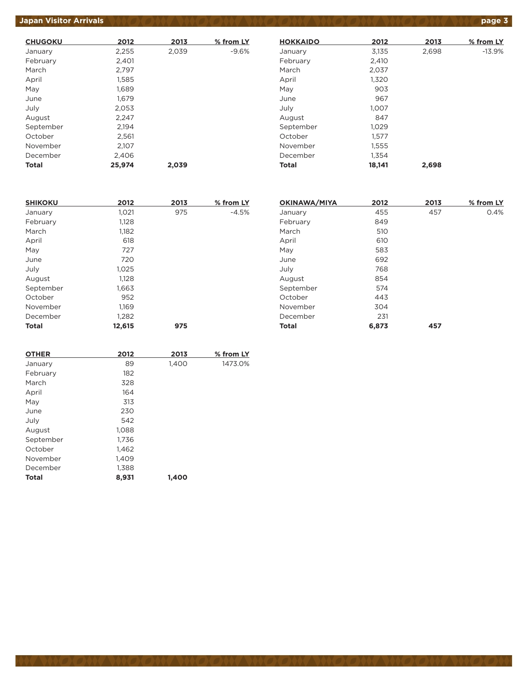# *Japan Visitor Arrivals <b>page 3*

| <b>CHUGOKU</b> | 2012   | 2013  | % from LY |
|----------------|--------|-------|-----------|
| January        | 2,255  | 2,039 | $-9.6%$   |
| February       | 2,401  |       |           |
| March          | 2,797  |       |           |
| April          | 1,585  |       |           |
| May            | 1,689  |       |           |
| June           | 1,679  |       |           |
| July           | 2,053  |       |           |
| August         | 2,247  |       |           |
| September      | 2,194  |       |           |
| October        | 2,561  |       |           |
| November       | 2,107  |       |           |
| December       | 2,406  |       |           |
| Total          | 25,974 | 2,039 |           |

| <b>HOKKAIDO</b> | 2012   | 2013  | % from LY |
|-----------------|--------|-------|-----------|
| January         | 3,135  | 2,698 | $-13.9%$  |
| February        | 2,410  |       |           |
| March           | 2,037  |       |           |
| April           | 1,320  |       |           |
| May             | 903    |       |           |
| June            | 967    |       |           |
| July            | 1,007  |       |           |
| August          | 847    |       |           |
| September       | 1,029  |       |           |
| October         | 1,577  |       |           |
| November        | 1,555  |       |           |
| December        | 1.354  |       |           |
| <b>Total</b>    | 18,141 | 2,698 |           |

| <b>SHIKOKU</b> | 2012   | 2013 | % from LY |
|----------------|--------|------|-----------|
| January        | 1,021  | 975  | $-4.5%$   |
| February       | 1,128  |      |           |
| March          | 1,182  |      |           |
| April          | 618    |      |           |
| May            | 727    |      |           |
| June           | 720    |      |           |
| July           | 1,025  |      |           |
| August         | 1,128  |      |           |
| September      | 1,663  |      |           |
| October        | 952    |      |           |
| November       | 1,169  |      |           |
| December       | 1,282  |      |           |
| <b>Total</b>   | 12,615 | 975  |           |

| <b>OKINAWA/MIYA</b> | 2012  | 2013 | % from LY |
|---------------------|-------|------|-----------|
| January             | 455   | 457  | 0.4%      |
| February            | 849   |      |           |
| March               | 510   |      |           |
| April               | 610   |      |           |
| May                 | 583   |      |           |
| June                | 692   |      |           |
| July                | 768   |      |           |
| August              | 854   |      |           |
| September           | 574   |      |           |
| October             | 443   |      |           |
| November            | 304   |      |           |
| December            | 231   |      |           |
| <b>Total</b>        | 6,873 | 457  |           |

| <b>OTHER</b> | 2012  | 2013  | % from LY |
|--------------|-------|-------|-----------|
| January      | 89    | 1,400 | 1473.0%   |
| February     | 182   |       |           |
| March        | 328   |       |           |
| April        | 164   |       |           |
| May          | 313   |       |           |
| June         | 230   |       |           |
| July         | 542   |       |           |
| August       | 1,088 |       |           |
| September    | 1,736 |       |           |
| October      | 1,462 |       |           |
| November     | 1,409 |       |           |
| December     | 1,388 |       |           |
| <b>Total</b> | 8,931 | 1,400 |           |
|              |       |       |           |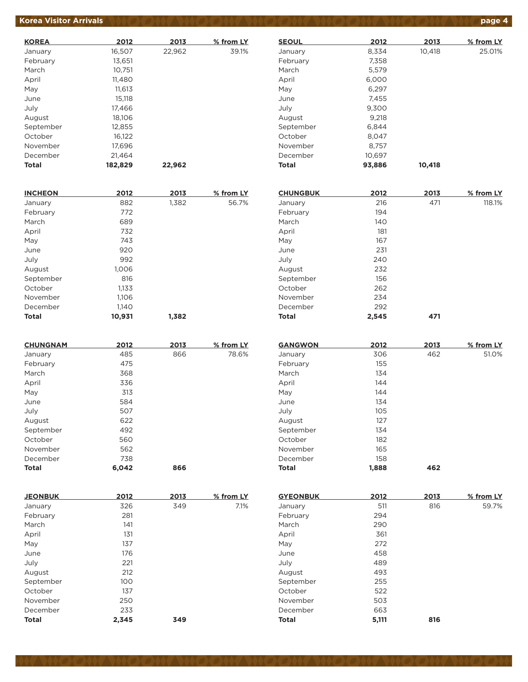# **Korea Visitor Arrivals page 4**

| <b>KOREA</b> | 2012    | 2013   | % from LY |
|--------------|---------|--------|-----------|
| January      | 16,507  | 22,962 | 39.1%     |
| February     | 13,651  |        |           |
| March        | 10,751  |        |           |
| April        | 11.480  |        |           |
| May          | 11,613  |        |           |
| June         | 15,118  |        |           |
| July         | 17,466  |        |           |
| August       | 18.106  |        |           |
| September    | 12,855  |        |           |
| October      | 16,122  |        |           |
| November     | 17,696  |        |           |
| December     | 21,464  |        |           |
| Total        | 182,829 | 22,962 |           |

| <b>INCHEON</b> | 2012   | 2013  | % from LY |
|----------------|--------|-------|-----------|
| January        | 882    | 1,382 | 56.7%     |
| February       | 772    |       |           |
| March          | 689    |       |           |
| April          | 732    |       |           |
| May            | 743    |       |           |
| June           | 920    |       |           |
| July           | 992    |       |           |
| August         | 1,006  |       |           |
| September      | 816    |       |           |
| October        | 1,133  |       |           |
| November       | 1,106  |       |           |
| December       | 1,140  |       |           |
| <b>Total</b>   | 10,931 | 1,382 |           |

| <b>CHUNGNAM</b> | 2012  | 2013 | % from LY |
|-----------------|-------|------|-----------|
| January         | 485   | 866  | 78.6%     |
| February        | 475   |      |           |
| March           | 368   |      |           |
| April           | 336   |      |           |
| May             | 313   |      |           |
| June            | 584   |      |           |
| July            | 507   |      |           |
| August          | 622   |      |           |
| September       | 492   |      |           |
| October         | 560   |      |           |
| November        | 562   |      |           |
| December        | 738   |      |           |
| <b>Total</b>    | 6.042 | 866  |           |

| <b>JEONBUK</b> | 2012  | 2013 | % from LY |
|----------------|-------|------|-----------|
| January        | 326   | 349  | 7.1%      |
| February       | 281   |      |           |
| March          | 141   |      |           |
| April          | 131   |      |           |
| May            | 137   |      |           |
| June           | 176   |      |           |
| July           | 221   |      |           |
| August         | 212   |      |           |
| September      | 100   |      |           |
| October        | 137   |      |           |
| November       | 250   |      |           |
| December       | 233   |      |           |
| <b>Total</b>   | 2,345 | 349  |           |

| <b>SEOUL</b> | 2012   | 2013   | % from LY |
|--------------|--------|--------|-----------|
| January      | 8,334  | 10,418 | 25.01%    |
| February     | 7,358  |        |           |
| March        | 5,579  |        |           |
| April        | 6,000  |        |           |
| May          | 6,297  |        |           |
| June         | 7,455  |        |           |
| July         | 9,300  |        |           |
| August       | 9,218  |        |           |
| September    | 6.844  |        |           |
| October      | 8,047  |        |           |
| November     | 8.757  |        |           |
| December     | 10,697 |        |           |
| <b>Total</b> | 93.886 | 10,418 |           |

| <b>CHUNGBUK</b> | 2012  | 2013 | % from LY |
|-----------------|-------|------|-----------|
| January         | 216   | 471  | 118.1%    |
| February        | 194   |      |           |
| March           | 140   |      |           |
| April           | 181   |      |           |
| May             | 167   |      |           |
| June            | 231   |      |           |
| July            | 240   |      |           |
| August          | 232   |      |           |
| September       | 156   |      |           |
| October         | 262   |      |           |
| November        | 234   |      |           |
| December        | 292   |      |           |
| <b>Total</b>    | 2,545 | 471  |           |

| <b>GANGWON</b> | 2012  | 2013 | % from LY |
|----------------|-------|------|-----------|
| January        | 306   | 462  | 51.0%     |
| February       | 155   |      |           |
| March          | 134   |      |           |
| April          | 144   |      |           |
| May            | 144   |      |           |
| June           | 134   |      |           |
| July           | 105   |      |           |
| August         | 127   |      |           |
| September      | 134   |      |           |
| October        | 182   |      |           |
| November       | 165   |      |           |
| December       | 158   |      |           |
| <b>Total</b>   | 1.888 | 462  |           |

| <b>GYEONBUK</b> | 2012  | 2013 | % from LY |
|-----------------|-------|------|-----------|
| January         | 511   | 816  | 59.7%     |
| February        | 294   |      |           |
| March           | 290   |      |           |
| April           | 361   |      |           |
| May             | 272   |      |           |
| June            | 458   |      |           |
| July            | 489   |      |           |
| August          | 493   |      |           |
| September       | 255   |      |           |
| October         | 522   |      |           |
| November        | 503   |      |           |
| December        | 663   |      |           |
| <b>Total</b>    | 5,111 | 816  |           |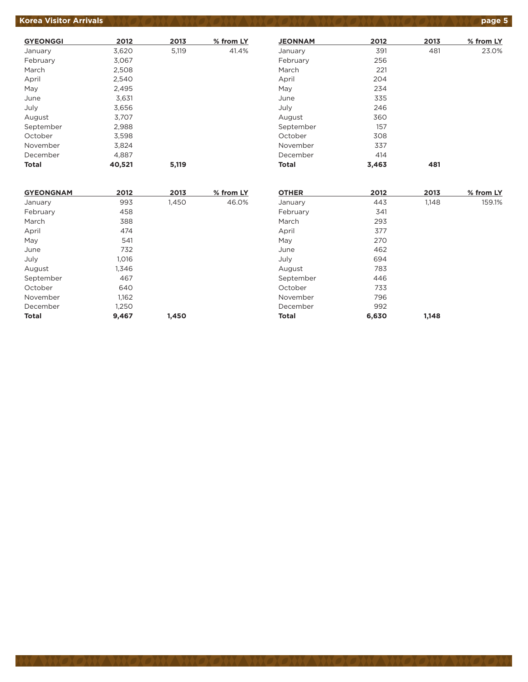# **Korea Visitor Arrivals** *AND ON AND ON ON AND ON AND ON AND ON AND ON AND ON AND*

| <b>GYEONGGI</b> | 2012   | 2013  | % from LY |
|-----------------|--------|-------|-----------|
| January         | 3,620  | 5,119 | 41.4%     |
| February        | 3,067  |       |           |
| March           | 2,508  |       |           |
| April           | 2,540  |       |           |
| May             | 2,495  |       |           |
| June            | 3,631  |       |           |
| July            | 3,656  |       |           |
| August          | 3,707  |       |           |
| September       | 2,988  |       |           |
| October         | 3,598  |       |           |
| November        | 3,824  |       |           |
| December        | 4,887  |       |           |
| Total           | 40,521 | 5.119 |           |

| <b>JEONNAM</b> | 2012  | 2013 | % from LY |
|----------------|-------|------|-----------|
| January        | 391   | 481  | 23.0%     |
| February       | 256   |      |           |
| March          | 221   |      |           |
| April          | 204   |      |           |
| May            | 234   |      |           |
| June           | 335   |      |           |
| July           | 246   |      |           |
| August         | 360   |      |           |
| September      | 157   |      |           |
| October        | 308   |      |           |
| November       | 337   |      |           |
| December       | 414   |      |           |
| <b>Total</b>   | 3,463 | 481  |           |

| <b>GYEONGNAM</b> | 2012  | 2013  | % from LY | <b>OTHER</b> | 2012  | 2013  | % from LY |
|------------------|-------|-------|-----------|--------------|-------|-------|-----------|
| January          | 993   | 1,450 | 46.0%     | January      | 443   | 1,148 | 159.1%    |
| February         | 458   |       |           | February     | 341   |       |           |
| March            | 388   |       |           | March        | 293   |       |           |
| April            | 474   |       |           | April        | 377   |       |           |
| May              | 541   |       |           | May          | 270   |       |           |
| June             | 732   |       |           | June         | 462   |       |           |
| July             | 1.016 |       |           | July         | 694   |       |           |
| August           | 1,346 |       |           | August       | 783   |       |           |
| September        | 467   |       |           | September    | 446   |       |           |
| October          | 640   |       |           | October      | 733   |       |           |
| November         | 1,162 |       |           | November     | 796   |       |           |
| December         | 1,250 |       |           | December     | 992   |       |           |
| <b>Total</b>     | 9,467 | 1,450 |           | <b>Total</b> | 6,630 | 1,148 |           |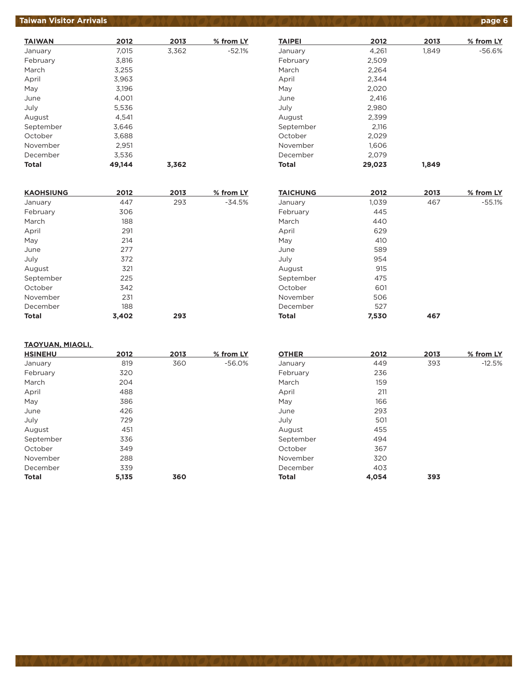## **Taiwan Visitor Arrivals page 6**

| <b>TAIWAN</b> | 2012   | 2013  | % from LY |
|---------------|--------|-------|-----------|
| January       | 7,015  | 3,362 | $-52.1%$  |
| February      | 3,816  |       |           |
| March         | 3,255  |       |           |
| April         | 3,963  |       |           |
| May           | 3,196  |       |           |
| June          | 4,001  |       |           |
| July          | 5,536  |       |           |
| August        | 4.541  |       |           |
| September     | 3,646  |       |           |
| October       | 3,688  |       |           |
| November      | 2,951  |       |           |
| December      | 3,536  |       |           |
| Total         | 49.144 | 3.362 |           |

| <b>KAOHSIUNG</b> | 2012  | 2013 | % from LY |
|------------------|-------|------|-----------|
| January          | 447   | 293  | $-34.5%$  |
| February         | 306   |      |           |
| March            | 188   |      |           |
| April            | 291   |      |           |
| May              | 214   |      |           |
| June             | 277   |      |           |
| July             | 372   |      |           |
| August           | 321   |      |           |
| September        | 225   |      |           |
| October          | 342   |      |           |
| November         | 231   |      |           |
| December         | 188   |      |           |
| <b>Total</b>     | 3,402 | 293  |           |

#### **TAIPEI 2012 2013 % from LY** January 1,261 1,849 -56.6% February 2,509 March 2,264 April 2,344 May 2,020 June 2,416 July 2,980 August 2,399 September 2,116 October 2,029 November 1,606 December 2,079 **Total 29,023 1,849**

| <b>TAICHUNG</b> | 2012  | 2013 | % from LY |
|-----------------|-------|------|-----------|
| January         | 1,039 | 467  | $-55.1%$  |
| February        | 445   |      |           |
| March           | 440   |      |           |
| April           | 629   |      |           |
| May             | 410   |      |           |
| June            | 589   |      |           |
| July            | 954   |      |           |
| August          | 915   |      |           |
| September       | 475   |      |           |
| October         | 601   |      |           |
| November        | 506   |      |           |
| December        | 527   |      |           |
| <b>Total</b>    | 7,530 | 467  |           |

#### **TAOYUAN, MIAOLI,**

| <b>HSINEHU</b> | 2012  | 2013 | % from LY |
|----------------|-------|------|-----------|
| January        | 819   | 360  | $-56.0%$  |
| February       | 320   |      |           |
| March          | 204   |      |           |
| April          | 488   |      |           |
| May            | 386   |      |           |
| June           | 426   |      |           |
| July           | 729   |      |           |
| August         | 451   |      |           |
| September      | 336   |      |           |
| October        | 349   |      |           |
| November       | 288   |      |           |
| December       | 339   |      |           |
| <b>Total</b>   | 5,135 | 360  |           |
|                |       |      |           |

| <b>OTHER</b> | 2012  | 2013 | % from LY |
|--------------|-------|------|-----------|
| January      | 449   | 393  | $-12.5%$  |
| February     | 236   |      |           |
| March        | 159   |      |           |
| April        | 211   |      |           |
| May          | 166   |      |           |
| June         | 293   |      |           |
| July         | 501   |      |           |
| August       | 455   |      |           |
| September    | 494   |      |           |
| October      | 367   |      |           |
| November     | 320   |      |           |
| December     | 403   |      |           |
| <b>Total</b> | 4,054 | 393  |           |
|              |       |      |           |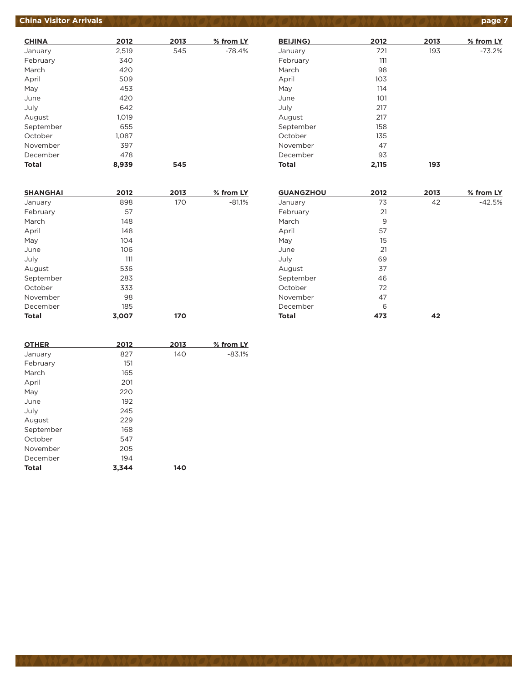# **China Visitor Arrivals** *page 7* **page 7 comparison in the contract of the China Visitor Arrivals (2) and 7**

| <b>CHINA</b> | 2012  | 2013 | % from LY |
|--------------|-------|------|-----------|
| January      | 2,519 | 545  | $-78.4%$  |
| February     | 340   |      |           |
| March        | 420   |      |           |
| April        | 509   |      |           |
| May          | 453   |      |           |
| June         | 420   |      |           |
| July         | 642   |      |           |
| August       | 1,019 |      |           |
| September    | 655   |      |           |
| October      | 1,087 |      |           |
| November     | 397   |      |           |
| December     | 478   |      |           |
| <b>Total</b> | 8,939 | 545  |           |

| <b>BEIJING)</b> | 2012  | 2013 | % from LY |
|-----------------|-------|------|-----------|
| January         | 721   | 193  | $-73.2%$  |
| February        | 111   |      |           |
| March           | 98    |      |           |
| April           | 103   |      |           |
| May             | 114   |      |           |
| June            | 101   |      |           |
| July            | 217   |      |           |
| August          | 217   |      |           |
| September       | 158   |      |           |
| October         | 135   |      |           |
| November        | 47    |      |           |
| December        | 93    |      |           |
| <b>Total</b>    | 2,115 | 193  |           |

| <b>SHANGHAI</b> | 2012  | 2013 | % from LY |
|-----------------|-------|------|-----------|
| January         | 898   | 170  | $-81.1%$  |
| February        | 57    |      |           |
| March           | 148   |      |           |
| April           | 148   |      |           |
| May             | 104   |      |           |
| June            | 106   |      |           |
| July            | 111   |      |           |
| August          | 536   |      |           |
| September       | 283   |      |           |
| October         | 333   |      |           |
| November        | 98    |      |           |
| December        | 185   |      |           |
| <b>Total</b>    | 3.007 | 170  |           |

| 3,007 | 170  |           |
|-------|------|-----------|
|       |      |           |
| 2012  | 2013 | % from LY |
| 827   | 140  | $-83.1%$  |
| 151   |      |           |
| 165   |      |           |
| 201   |      |           |
| 220   |      |           |
| 192   |      |           |
| 245   |      |           |
| 229   |      |           |
| 168   |      |           |
| 547   |      |           |
| 205   |      |           |
| 194   |      |           |
| 3,344 | 140  |           |
|       |      |           |

| <b>GUANGZHOU</b> | 2012 | 2013 | % from LY |
|------------------|------|------|-----------|
| January          | 73   | 42   | $-42.5%$  |
| February         | 21   |      |           |
| March            | 9    |      |           |
| April            | 57   |      |           |
| May              | 15   |      |           |
| June             | 21   |      |           |
| July             | 69   |      |           |
| August           | 37   |      |           |
| September        | 46   |      |           |
| October          | 72   |      |           |
| November         | 47   |      |           |
| December         | 6    |      |           |
| <b>Total</b>     | 473  | 42   |           |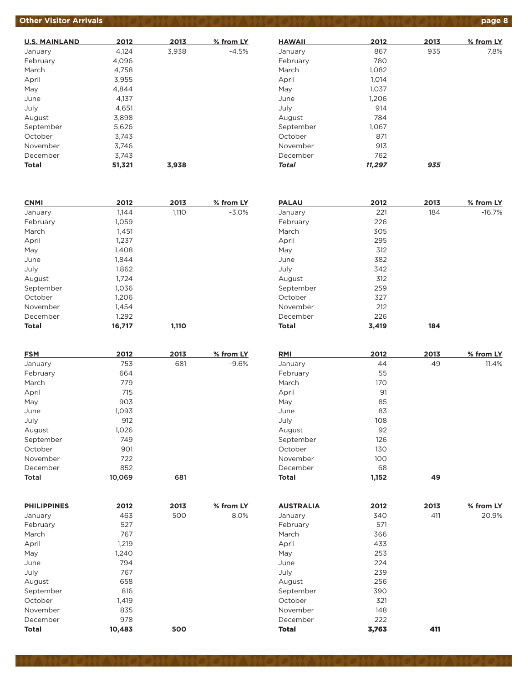# **Other Visitor Arrivals** *AND ON AND ON ON AND ON AND ON AND ON AND ON AND ON AND Page 8*

| <b>U.S. MAINLAND</b> | 2012   | 2013  | % from LY |
|----------------------|--------|-------|-----------|
| January              | 4,124  | 3,938 | $-4.5%$   |
| February             | 4,096  |       |           |
| March                | 4,758  |       |           |
| April                | 3,955  |       |           |
| May                  | 4.844  |       |           |
| June                 | 4,137  |       |           |
| July                 | 4.651  |       |           |
| August               | 3,898  |       |           |
| September            | 5,626  |       |           |
| October              | 3.743  |       |           |
| November             | 3,746  |       |           |
| December             | 3.743  |       |           |
| Total                | 51,321 | 3.938 |           |

| <b>HAWAII</b> | 2012   | 2013 | % from LY |
|---------------|--------|------|-----------|
| January       | 867    | 935  | 7.8%      |
| February      | 780    |      |           |
| March         | 1,082  |      |           |
| April         | 1,014  |      |           |
| May           | 1,037  |      |           |
| June          | 1,206  |      |           |
| July          | 914    |      |           |
| August        | 784    |      |           |
| September     | 1,067  |      |           |
| October       | 871    |      |           |
| November      | 913    |      |           |
| December      | 762    |      |           |
| <b>Total</b>  | 11,297 | 935  |           |

| <b>CNMI</b>  | 2012   | 2013  | % from LY |
|--------------|--------|-------|-----------|
| January      | 1,144  | 1,110 | $-3.0%$   |
| February     | 1,059  |       |           |
| March        | 1,451  |       |           |
| April        | 1,237  |       |           |
| May          | 1,408  |       |           |
| June         | 1.844  |       |           |
| July         | 1,862  |       |           |
| August       | 1,724  |       |           |
| September    | 1,036  |       |           |
| October      | 1,206  |       |           |
| November     | 1,454  |       |           |
| December     | 1,292  |       |           |
| <b>Total</b> | 16,717 | 1,110 |           |

| <b>FSM</b> | 2012   | 2013 | % from LY |
|------------|--------|------|-----------|
| January    | 753    | 681  | $-9.6%$   |
| February   | 664    |      |           |
| March      | 779    |      |           |
| April      | 715    |      |           |
| May        | 903    |      |           |
| June       | 1,093  |      |           |
| July       | 912    |      |           |
| August     | 1,026  |      |           |
| September  | 749    |      |           |
| October    | 901    |      |           |
| November   | 722    |      |           |
| December   | 852    |      |           |
| Total      | 10,069 | 681  |           |

| February     | 226   |      |           |
|--------------|-------|------|-----------|
| March        | 305   |      |           |
| April        | 295   |      |           |
| May          | 312   |      |           |
| June         | 382   |      |           |
| July         | 342   |      |           |
| August       | 312   |      |           |
| September    | 259   |      |           |
| October      | 327   |      |           |
| November     | 212   |      |           |
| December     | 226   |      |           |
| <b>Total</b> | 3,419 | 184  |           |
|              |       |      |           |
| <b>RMI</b>   | 2012  | 2013 | % from LY |
| January      | 44    | 49   | 11.4%     |
| $F_0$ $F_1$  | 55    |      |           |

**PALAU 2012 2013 % from LY** January 221 184 -16.7%

| January      | 44    | 49 | 11.4% |
|--------------|-------|----|-------|
| February     | 55    |    |       |
| March        | 170   |    |       |
| April        | 91    |    |       |
| May          | 85    |    |       |
| June         | 83    |    |       |
| July         | 108   |    |       |
| August       | 92    |    |       |
| September    | 126   |    |       |
| October      | 130   |    |       |
| November     | 100   |    |       |
| December     | 68    |    |       |
| <b>Total</b> | 1,152 | 49 |       |
|              |       |    |       |

| <b>PHILIPPINES</b> | 2012   | 2013 | % from LY |
|--------------------|--------|------|-----------|
| January            | 463    | 500  | 8.0%      |
| February           | 527    |      |           |
| March              | 767    |      |           |
| April              | 1,219  |      |           |
| May                | 1,240  |      |           |
| June               | 794    |      |           |
| July               | 767    |      |           |
| August             | 658    |      |           |
| September          | 816    |      |           |
| October            | 1,419  |      |           |
| November           | 835    |      |           |
| December           | 978    |      |           |
| <b>Total</b>       | 10.483 | 500  |           |

| <b>AUSTRALIA</b> | 2012  | 2013 | % from LY |
|------------------|-------|------|-----------|
| January          | 340   | 411  | 20.9%     |
| February         | 571   |      |           |
| March            | 366   |      |           |
| April            | 433   |      |           |
| May              | 253   |      |           |
| June             | 224   |      |           |
| July             | 239   |      |           |
| August           | 256   |      |           |
| September        | 390   |      |           |
| October          | 321   |      |           |
| November         | 148   |      |           |
| December         | 222   |      |           |
| <b>Total</b>     | 3,763 | 411  |           |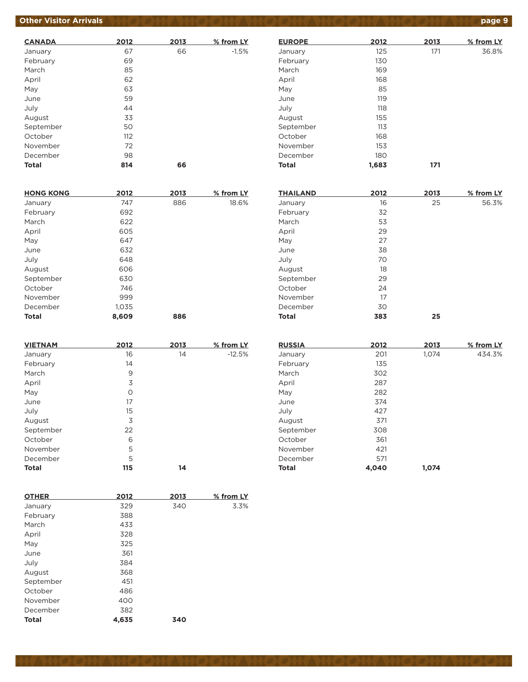# **Other Visitor Arrivals** *AND ON AND ON CANTAND ON AND ON AND ON AND ON AND ON AND Page 9*

| <b>CANADA</b> | 2012 | 2013 | % from LY |
|---------------|------|------|-----------|
| January       | 67   | 66   | $-1.5%$   |
| February      | 69   |      |           |
| March         | 85   |      |           |
| April         | 62   |      |           |
| May           | 63   |      |           |
| June          | 59   |      |           |
| July          | 44   |      |           |
| August        | 33   |      |           |
| September     | 50   |      |           |
| October       | 112  |      |           |
| November      | 72   |      |           |
| December      | 98   |      |           |
| <b>Total</b>  | 814  | 66   |           |

| <b>HONG KONG</b> | 2012  | 2013 | % from LY |
|------------------|-------|------|-----------|
| January          | 747   | 886  | 18.6%     |
| February         | 692   |      |           |
| March            | 622   |      |           |
| April            | 605   |      |           |
| May              | 647   |      |           |
| June             | 632   |      |           |
| July             | 648   |      |           |
| August           | 606   |      |           |
| September        | 630   |      |           |
| October          | 746   |      |           |
| November         | 999   |      |           |
| December         | 1,035 |      |           |
| <b>Total</b>     | 8.609 | 886  |           |

| <b>VIETNAM</b> | 2012 | 2013 | % from LY |
|----------------|------|------|-----------|
| January        | 16   | 14   | $-12.5%$  |
| February       | 14   |      |           |
| March          | 9    |      |           |
| April          | 3    |      |           |
| May            | O    |      |           |
| June           | 17   |      |           |
| July           | 15   |      |           |
| August         | 3    |      |           |
| September      | 22   |      |           |
| October        | 6    |      |           |
| November       | 5    |      |           |
| December       | 5    |      |           |
| <b>Total</b>   | 115  | 14   |           |

| <b>OTHER</b> | 2012  | 2013 | % from LY |
|--------------|-------|------|-----------|
| January      | 329   | 340  | 3.3%      |
| February     | 388   |      |           |
| March        | 433   |      |           |
| April        | 328   |      |           |
| May          | 325   |      |           |
| June         | 361   |      |           |
| July         | 384   |      |           |
| August       | 368   |      |           |
| September    | 451   |      |           |
| October      | 486   |      |           |
| November     | 400   |      |           |
| December     | 382   |      |           |
| <b>Total</b> | 4.635 | 340  |           |

| 2012  | 2013 | % from LY |
|-------|------|-----------|
| 125   | 171  | 36.8%     |
| 130   |      |           |
| 169   |      |           |
| 168   |      |           |
| 85    |      |           |
| 119   |      |           |
| 118   |      |           |
| 155   |      |           |
| 113   |      |           |
| 168   |      |           |
| 153   |      |           |
| 180   |      |           |
| 1,683 | 171  |           |
|       |      |           |

| <b>THAILAND</b> | 2012 | 2013 | % from LY |
|-----------------|------|------|-----------|
| January         | 16   | 25   | 56.3%     |
| February        | 32   |      |           |
| March           | 53   |      |           |
| April           | 29   |      |           |
| May             | 27   |      |           |
| June            | 38   |      |           |
| July            | 70   |      |           |
| August          | 18   |      |           |
| September       | 29   |      |           |
| October         | 24   |      |           |
| November        | 17   |      |           |
| December        | 30   |      |           |
| <b>Total</b>    | 383  | 25   |           |

| <b>RUSSIA</b> | 2012  | 2013  | % from LY |
|---------------|-------|-------|-----------|
| January       | 201   | 1,074 | 434.3%    |
| February      | 135   |       |           |
| March         | 302   |       |           |
| April         | 287   |       |           |
| May           | 282   |       |           |
| June          | 374   |       |           |
| July          | 427   |       |           |
| August        | 371   |       |           |
| September     | 308   |       |           |
| October       | 361   |       |           |
| November      | 421   |       |           |
| December      | 571   |       |           |
| <b>Total</b>  | 4,040 | 1,074 |           |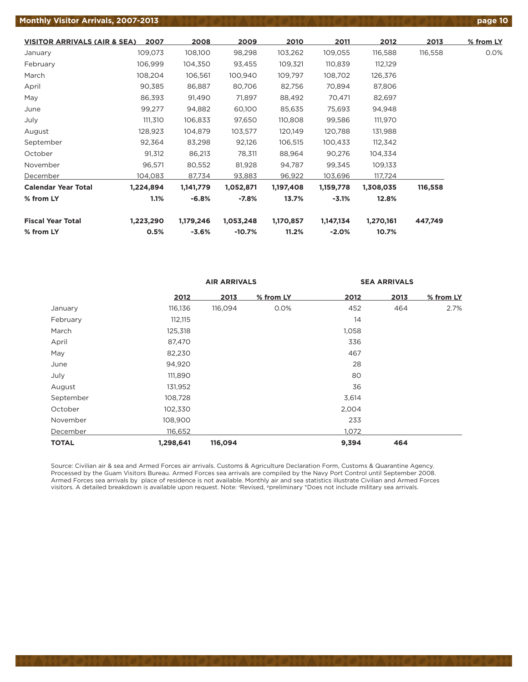#### **Monthly Visitor Arrivals, 2007-2013 page 10**

| <b>VISITOR ARRIVALS (AIR &amp; SEA)</b> | 2007      | 2008      | 2009      | 2010      | 2011      | 2012      | 2013    | % from LY |
|-----------------------------------------|-----------|-----------|-----------|-----------|-----------|-----------|---------|-----------|
| January                                 | 109,073   | 108,100   | 98,298    | 103,262   | 109,055   | 116,588   | 116,558 | 0.0%      |
| February                                | 106,999   | 104,350   | 93,455    | 109,321   | 110,839   | 112,129   |         |           |
| March                                   | 108,204   | 106,561   | 100,940   | 109,797   | 108,702   | 126,376   |         |           |
| April                                   | 90,385    | 86,887    | 80,706    | 82,756    | 70,894    | 87,806    |         |           |
| May                                     | 86,393    | 91,490    | 71,897    | 88,492    | 70,471    | 82,697    |         |           |
| June                                    | 99,277    | 94,882    | 60,100    | 85,635    | 75,693    | 94,948    |         |           |
| July                                    | 111,310   | 106,833   | 97,650    | 110,808   | 99,586    | 111,970   |         |           |
| August                                  | 128,923   | 104,879   | 103,577   | 120,149   | 120,788   | 131,988   |         |           |
| September                               | 92,364    | 83,298    | 92,126    | 106,515   | 100,433   | 112,342   |         |           |
| October                                 | 91,312    | 86,213    | 78,311    | 88,964    | 90,276    | 104,334   |         |           |
| November                                | 96,571    | 80,552    | 81,928    | 94,787    | 99,345    | 109,133   |         |           |
| December                                | 104,083   | 87,734    | 93,883    | 96,922    | 103,696   | 117,724   |         |           |
| <b>Calendar Year Total</b>              | 1,224,894 | 1,141,779 | 1,052,871 | 1,197,408 | 1,159,778 | 1,308,035 | 116,558 |           |
| % from LY                               | 1.1%      | $-6.8%$   | $-7.8%$   | 13.7%     | $-3.1%$   | 12.8%     |         |           |
| <b>Fiscal Year Total</b>                | 1,223,290 | 1,179,246 | 1,053,248 | 1,170,857 | 1,147,134 | 1,270,161 | 447,749 |           |
| % from LY                               | 0.5%      | $-3.6%$   | $-10.7%$  | 11.2%     | $-2.0%$   | 10.7%     |         |           |

|              |           | <b>AIR ARRIVALS</b> |           | <b>SEA ARRIVALS</b> |      |           |
|--------------|-----------|---------------------|-----------|---------------------|------|-----------|
|              | 2012      | 2013                | % from LY | 2012                | 2013 | % from LY |
| January      | 116,136   | 116,094             | 0.0%      | 452                 | 464  | 2.7%      |
| February     | 112,115   |                     |           | 14                  |      |           |
| March        | 125,318   |                     |           | 1,058               |      |           |
| April        | 87,470    |                     |           | 336                 |      |           |
| May          | 82,230    |                     |           | 467                 |      |           |
| June         | 94,920    |                     |           | 28                  |      |           |
| July         | 111,890   |                     |           | 80                  |      |           |
| August       | 131,952   |                     |           | 36                  |      |           |
| September    | 108,728   |                     |           | 3,614               |      |           |
| October      | 102,330   |                     |           | 2,004               |      |           |
| November     | 108,900   |                     |           | 233                 |      |           |
| December     | 116,652   |                     |           | 1,072               |      |           |
| <b>TOTAL</b> | 1,298,641 | 116,094             |           | 9,394               | 464  |           |

Source: Civilian air & sea and Armed Forces air arrivals. Customs & Agriculture Declaration Form, Customs & Quarantine Agency. Processed by the Guam Visitors Bureau. Armed Forces sea arrivals are compiled by the Navy Port Control until September 2008. Armed Forces sea arrivals by place of residence is not available. Monthly air and sea statistics illustrate Civilian and Armed Forces visitors. A detailed breakdown is available upon request. Note: r Revised, ppreliminary \*Does not include military sea arrivals.